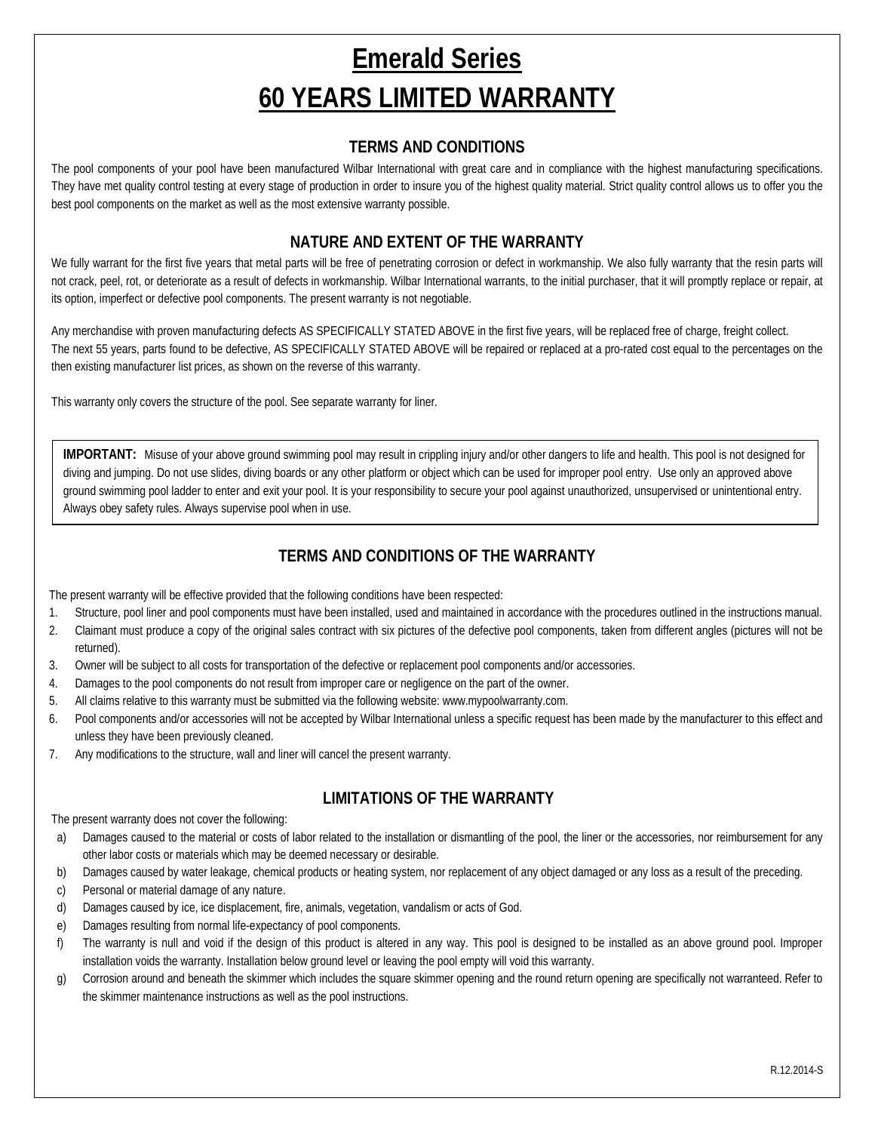# **Emerald Series 60 YEARS LIMITED WARRANTY**

#### **TERMS AND CONDITIONS**

The pool components of your pool have been manufactured Wilbar International with great care and in compliance with the highest manufacturing specifications. They have met quality control testing at every stage of production in order to insure you of the highest quality material. Strict quality control allows us to offer you the best pool components on the market as well as the most extensive warranty possible.

### **NATURE AND EXTENT OF THE WARRANTY**

We fully warrant for the first five years that metal parts will be free of penetrating corrosion or defect in workmanship. We also fully warranty that the resin parts will not crack, peel, rot, or deteriorate as a result of defects in workmanship. Wilbar International warrants, to the initial purchaser, that it will promptly replace or repair, at its option, imperfect or defective pool components. The present warranty is not negotiable.

Any merchandise with proven manufacturing defects AS SPECIFICALLY STATED ABOVE in the first five years, will be replaced free of charge, freight collect. The next 55 years, parts found to be defective, AS SPECIFICALLY STATED ABOVE will be repaired or replaced at a pro-rated cost equal to the percentages on the then existing manufacturer list prices, as shown on the reverse of this warranty.

This warranty only covers the structure of the pool. See separate warranty for liner.

**IMPORTANT:** Misuse of your above ground swimming pool may result in crippling injury and/or other dangers to life and health. This pool is not designed for diving and jumping. Do not use slides, diving boards or any other platform or object which can be used for improper pool entry. Use only an approved above ground swimming pool ladder to enter and exit your pool. It is your responsibility to secure your pool against unauthorized, unsupervised or unintentional entry. Always obey safety rules. Always supervise pool when in use.

#### **TERMS AND CONDITIONS OF THE WARRANTY**

The present warranty will be effective provided that the following conditions have been respected:

- 1. Structure, pool liner and pool components must have been installed, used and maintained in accordance with the procedures outlined in the instructions manual.
- 2. Claimant must produce a copy of the original sales contract with six pictures of the defective pool components, taken from different angles (pictures will not be returned).
- 3. Owner will be subject to all costs for transportation of the defective or replacement pool components and/or accessories.
- 4. Damages to the pool components do not result from improper care or negligence on the part of the owner.
- 5. All claims relative to this warranty must be submitted via the following website: www.mypoolwarranty.com.
- 6. Pool components and/or accessories will not be accepted by Wilbar International unless a specific request has been made by the manufacturer to this effect and unless they have been previously cleaned.
- 7. Any modifications to the structure, wall and liner will cancel the present warranty.

# **LIMITATIONS OF THE WARRANTY**

The present warranty does not cover the following:

- a) Damages caused to the material or costs of labor related to the installation or dismantling of the pool, the liner or the accessories, nor reimbursement for any other labor costs or materials which may be deemed necessary or desirable.
- b) Damages caused by water leakage, chemical products or heating system, nor replacement of any object damaged or any loss as a result of the preceding.
- c) Personal or material damage of any nature.
- d) Damages caused by ice, ice displacement, fire, animals, vegetation, vandalism or acts of God.
- e) Damages resulting from normal life-expectancy of pool components.
- f) The warranty is null and void if the design of this product is altered in any way. This pool is designed to be installed as an above ground pool. Improper installation voids the warranty. Installation below ground level or leaving the pool empty will void this warranty.
- g) Corrosion around and beneath the skimmer which includes the square skimmer opening and the round return opening are specifically not warranteed. Refer to the skimmer maintenance instructions as well as the pool instructions.